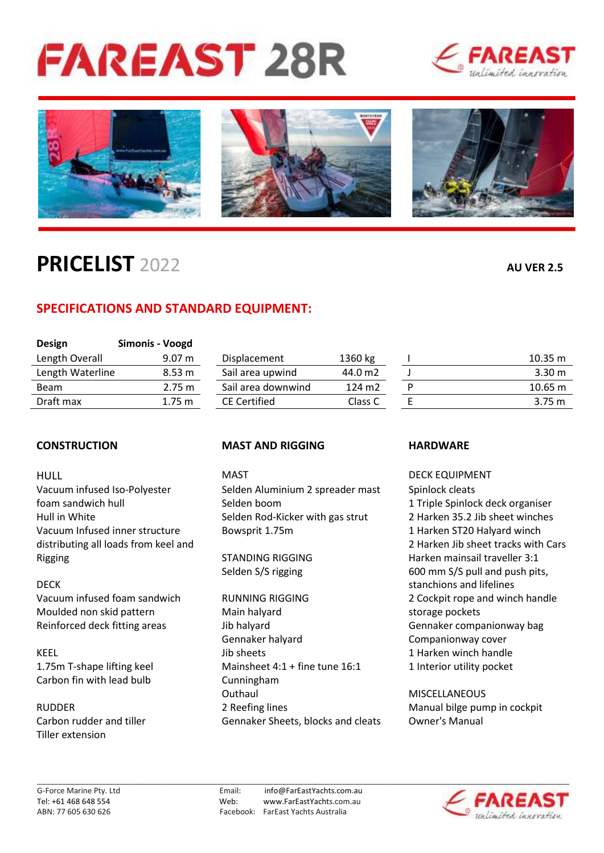# **FAREAST 28R**





# **PRICELIST** 2022 **AU VER 2.5**

## **SPECIFICATIONS AND STANDARD EQUIPMENT:**

| <b>Design</b>    | Simonis - Voogd   |                     |         |                   |
|------------------|-------------------|---------------------|---------|-------------------|
| Length Overall   | 9.07 m            | Displacement        | 1360 kg | $10.35 \text{ m}$ |
| Length Waterline | 8.53 <sub>m</sub> | Sail area upwind    | 44.0 m2 | 3.30 <sub>m</sub> |
| <b>Beam</b>      | 2.75 m            | Sail area downwind  | 124 m2  | $10.65 \text{ m}$ |
| Draft max        | $1.75 \text{ m}$  | <b>CE Certified</b> | Class C | $3.75 \text{ m}$  |
|                  |                   |                     |         |                   |

HULL MAST DECK EQUIPMENT Rigging **STANDING RIGGING** Harken mainsail traveller 3:1

Carbon fin with lead bulb Cunningham

Tiller extension

### **CONSTRUCTION MAST AND RIGGING HARDWARE**

Vacuum infused Iso-Polyester Selden Aluminium 2 spreader mast Spinlock cleats foam sandwich hull Selden boom 1 Triple Spinlock deck organiser Hull in White Selden Rod-Kicker with gas strut 2 Harken 35.2 Jib sheet winches Vacuum Infused inner structure Bowsprit 1.75m 1 Harken ST20 Halyard winch

Moulded non skid pattern Main halyard Main halyard storage pockets Reinforced deck fitting areas Thib halyard Gennaker companionway bag Gennaker halyard **Companionway cover** KEEL **Internal Accord Section** Superintensity of the state of the state of the state of the state of the state of the state of the state of the state of the state of the state of the state of the state of the state of the 1.75m T-shape lifting keel Mainsheet 4:1 + fine tune 16:1 1 Interior utility pocket Outhaul MISCELLANEOUS RUDDER 2 Reefing lines Manual bilge pump in cockpit Carbon rudder and tiller Gennaker Sheets, blocks and cleats Owner's Manual

distributing all loads from keel and 2 Harken Jib sheet tracks with Cars Selden S/S rigging 600 mm S/S pull and push pits, DECK Stanchions and lifelines Vacuum infused foam sandwich RUNNING RIGGING 2 Cockpit rope and winch handle